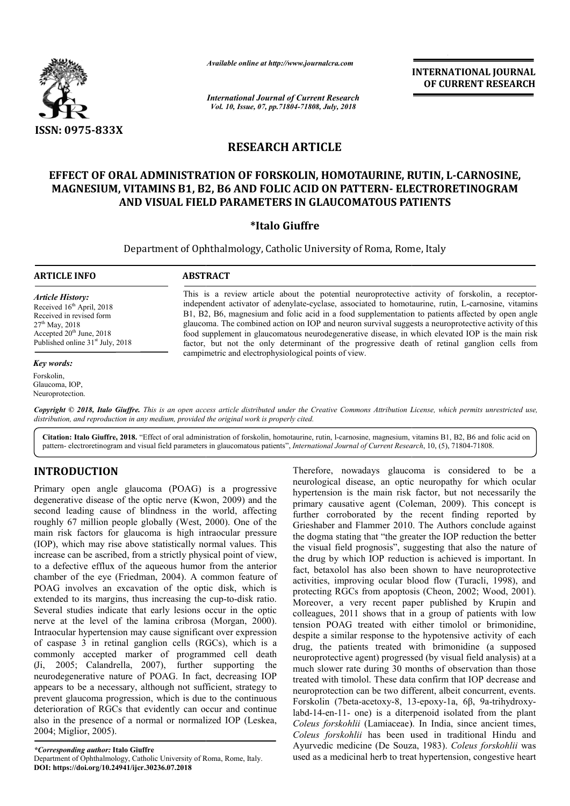

*Available online at http://www.journalcra.com*

*International Journal of Current Research Vol. 10, Issue, 07, pp.71804-71808, July, 2018*

**INTERNATIONAL JOURNAL OF CURRENT RESEARCH**

# **RESEARCH ARTICLE**

## EFFECT OF ORAL ADMINISTRATION OF FORSKOLIN, HOMOTAURINE, RUTIN, L-CARNOSINE, **MAGNESIUM, VITAMINS B1, B2, B6 AND FOLIC ACID ON PATTERN PATTERN- ELECTRORETINOGRAM ELECTRORETINOGRAM AND VISUAL FIELD PARAMETERS IN GLAUCOMATOUS PATIENTS**

## **\*Italo Giuffre**

Department of Ophthalmology, Catholic University of Roma, Rome, Italy

### **ARTICLE INFO ABSTRACT**

*Article History:* Received 16<sup>th</sup> April, 2018 Received in revised form 27th May, 2018 Accepted  $20<sup>th</sup>$  June,  $2018$ Published online  $31<sup>st</sup>$  July, 2018

### *Key words:*

Forskolin, Glaucoma, IOP, Neuroprotection.

This is a review article about the potential neuroprotective activity of forskolin, a receptorindependent activator of adenylate-cyclase, associated to homotaurine, rutin, L-carnosine, vitamins B1, B2, B6, magnesium and folic acid in a food supplementation to patients affected by open angle B1, B2, B6, magnesium and folic acid in a food supplementation to patients affected by open angle glaucoma. The combined action on IOP and neuron survival suggests a neuroprotective activity of this food supplement in glaucomatous neurodegenerative disease, in which elevated IOP is the main risk food supplement in glaucomatous neurodegenerative disease, in which elevated IOP is the main risk factor, but not the only determinant of the progressive death of retinal ganglion cells from campimetric and electrophysiological points of view.

Copyright © 2018, Italo Giuffre. This is an open access article distributed under the Creative Commons Attribution License, which permits unrestricted use, *distribution, and reproduction in any medium, provided the original work is properly cited.*

Citation: Italo Giuffre, 2018. "Effect of oral administration of forskolin, homotaurine, rutin, l-carnosine, magnesium, vitamins B1, B2, B6 and folic acid on pattern- electroretinogram and visual field parameters in glaucomatous patients", *International Journal of Current Research*, 10, (5), 71804-71808.

## **INTRODUCTION**

Primary open angle glaucoma (POAG) is a progressive degenerative disease of the optic nerve (Kwon, 2009) and the second leading cause of blindness in the world, affecting roughly 67 million people globally (West, 2000). One of the main risk factors for glaucoma is high intraocular pressure (IOP), which may rise above statistically normal values. This increase can be ascribed, from a strictly physical point of view, to a defective efflux of the aqueous humor from the anterior chamber of the eye (Friedman, 2004). A common feature of POAG involves an excavation of the optic disk, which is extended to its margins, thus increasing the cup-to-disk ratio. Several studies indicate that early lesions occur in the optic nerve at the level of the lamina cribrosa (Morgan, 2000). Intraocular hypertension may cause significant over expression of caspase 3 in retinal ganglion cells (RGCs), which is a commonly accepted marker of programmed cell death (Ji, 2005; Calandrella, 2007), further supporting the neurodegenerative nature of POAG. In fact, decreasing IOP appears to be a necessary, although not sufficient, strategy to prevent glaucoma progression, which is due to the continuous deterioration of RGCs that evidently can occur and continue also in the presence of a normal or normalized IOP (Leskea, 2004; Miglior, 2005). A common feature of<br>e optic disk, which is<br>ng the cup-to-disk ratio.

*\*Corresponding author:* **Italo Giuffre** Department of Ophthalmology, Catholic University of Roma, Rome, Italy. **DOI: https://doi.org/10.24941/ijcr.30236.07.2018**

Therefore, nowadays glaucoma is considered to be a neurological disease, an optic neuropathy for which ocular hypertension is the main risk factor, but not necessarily the primary causative agent (Coleman, 2009). This concept is further corroborated by the recent finding reported by Grieshaber and Flammer 2010. The Authors conclude against the dogma stating that "the greater the IOP reduction the better further corroborated by the recent finding reported by Grieshaber and Flammer 2010. The Authors conclude against the dogma stating that "the greater the IOP reduction the better the visual field prognosis", suggesting that the drug by which IOP reduction is achieved is important. In fact, betaxolol has also been shown to have neuroprotective the drug by which IOP reduction is achieved is important. In fact, betaxolol has also been shown to have neuroprotective activities, improving ocular blood flow (Turacli, 1998), and protecting RGCs from apoptosis (Cheon, 2002; Wood, 2001). Moreover, a very recent paper published by Krupin and colleagues, 2011 shows that in a group of patients with low tension POAG treated with either timolol or brimonidine, Moreover, a very recent paper published by Krupin and colleagues, 2011 shows that in a group of patients with low tension POAG treated with either timolol or brimonidine, despite a similar response to the hypotensive activ drug, the patients treated with brimonidine (a supposed neuroprotective agent) progressed (by visual field analysis) at a much slower rate during 30 months of observation than those neuroprotective agent) progressed (by visual field analysis) at a<br>much slower rate during 30 months of observation than those<br>treated with timolol. These data confirm that IOP decrease and neuroprotection can be two different, albeit concurrent, events. Forskolin (7beta-acetoxy-8, 13-epoxy-1a, 6β, 9a-trihydroxylabd-14-en-11- one) is a diterpenoid isolated from the plant *Coleus forskohlii* (Lamiaceae). In India, since ancient times, *Coleus forskohlii* has been used in t Ayurvedic medicine (De Souza, 1983). Coleus forskohlii was used as a medicinal herb to treat hypertension, congestive heart Therefore, nowadays glaucoma is considered to be a neurological disease, an optic neuropathy for which ocular hypertension is the main risk factor, but not necessarily the primary causative agent (Coleman, 2009). This conc one) is a diterpenoid isolated from the plant<br>*ii* (Lamiaceae). In India, since ancient times,<br>*lii* has been used in traditional Hindu and **VITERNATIONAL JOURNAL**<br> **OF CURRENT RESEARCH**<br> **OF CURRENT RESEARCH**<br> **CTRORETINOGRAM**<br> **ETRORETINOGRAM**<br> **ETRORETINOGRAM**<br> **ETRORETINOGRAM**<br> **ENTS**<br>
2, Italy<br>
to pairs affected by open angles in<br>
to a pairsofrective act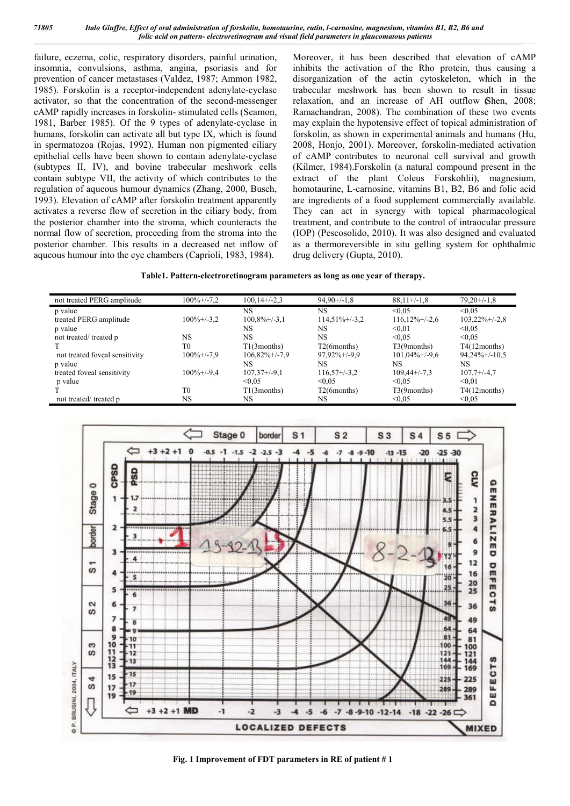failure, eczema, colic, respiratory disorders, painful urination, insomnia, convulsions, asthma, angina, psoriasis and for prevention of cancer metastases (Valdez, 1987; Ammon 1982, 1985). Forskolin is a receptor-independent adenylate-cyclase activator, so that the concentration of the second-messenger cAMP rapidly increases in forskolin- stimulated cells (Seamon, 1981, Barber 1985). Of the 9 types of adenylate-cyclase in humans, forskolin can activate all but type IX, which is found in spermatozoa (Rojas, 1992). Human non pigmented ciliary epithelial cells have been shown to contain adenylate-cyclase (subtypes II, IV), and bovine trabecular meshwork cells contain subtype VII, the activity of which contributes to the regulation of aqueous humour dynamics (Zhang, 2000, Busch, 1993). Elevation of cAMP after forskolin treatment apparently activates a reverse flow of secretion in the ciliary body, from the posterior chamber into the stroma, which counteracts the normal flow of secretion, proceeding from the stroma into the posterior chamber. This results in a decreased net inflow of aqueous humour into the eye chambers (Caprioli, 1983, 1984).

Moreover, it has been described that elevation of cAMP inhibits the activation of the Rho protein, thus causing a disorganization of the actin cytoskeleton, which in the trabecular meshwork has been shown to result in tissue relaxation, and an increase of AH outflow (Shen, 2008; Ramachandran, 2008). The combination of these two events may explain the hypotensive effect of topical administration of forskolin, as shown in experimental animals and humans (Hu, 2008, Honjo, 2001). Moreover, forskolin-mediated activation of cAMP contributes to neuronal cell survival and growth (Kilmer, 1984).Forskolin (a natural compound present in the extract of the plant Coleus Forskohlii), magnesium, homotaurine, L-carnosine, vitamins B1, B2, B6 and folic acid are ingredients of a food supplement commercially available. They can act in synergy with topical pharmacological treatment, and contribute to the control of intraocular pressure (IOP) (Pescosolido, 2010). It was also designed and evaluated as a thermoreversible in situ gelling system for ophthalmic drug delivery (Gupta, 2010).

**Table1. Pattern-electroretinogram parameters as long as one year of therapy.**

| not treated PERG amplitude     | $100\% + (-7.2)$ | $100,14+/-2,3$      | $94,90+/-1,8$            | $88,11+/-1,8$     | $79,20+/-1,8$       |
|--------------------------------|------------------|---------------------|--------------------------|-------------------|---------------------|
| p value                        |                  | NS                  | NS                       | < 0.05            | < 0.05              |
| treated PERG amplitude         | $100\% + (-3.2)$ | $100,8\% + (-3,1)$  | $114,51\% + (-3,2)$      | $116,12\%+/-2,6$  | $103,22\%+/-2,8$    |
| p value                        |                  | NS                  | NS                       | < 0.01            | < 0.05              |
| not treated/treated p          | NS               | <b>NS</b>           | NS                       | < 0.05            | < 0.05              |
|                                | T <sub>0</sub>   | $T1(3$ months)      | T <sub>2</sub> (6months) | T3(9months)       | $T4(12$ months)     |
| not treated foveal sensitivity | $100\% + (-7.9$  | $106,82\% + (-7,9)$ | $97.92\% + (-9.9)$       | $101,04\%$ +/-9.6 | $94,24\% + (-10.5)$ |
| p value                        |                  | NS                  | NS                       | NS                | NS.                 |
| treated foveal sensitivity     | $100\% + (-9.4$  | $107,37+/-9,1$      | $116,57+\frac{3}{2}$     | $109,44+/-7,3$    | $107,7+/-4,7$       |
| p value                        |                  | < 0.05              | < 0.05                   | < 0.05            | < 0.01              |
|                                | T <sub>0</sub>   | $T1(3$ months)      | T <sub>2</sub> (6months) | T3(9months)       | $T4(12$ months)     |
| not treated/treated p          | NS               | NS                  | NS                       | < 0.05            | < 0.05              |



**Fig. 1 Improvement of FDT parameters in RE of patient # 1**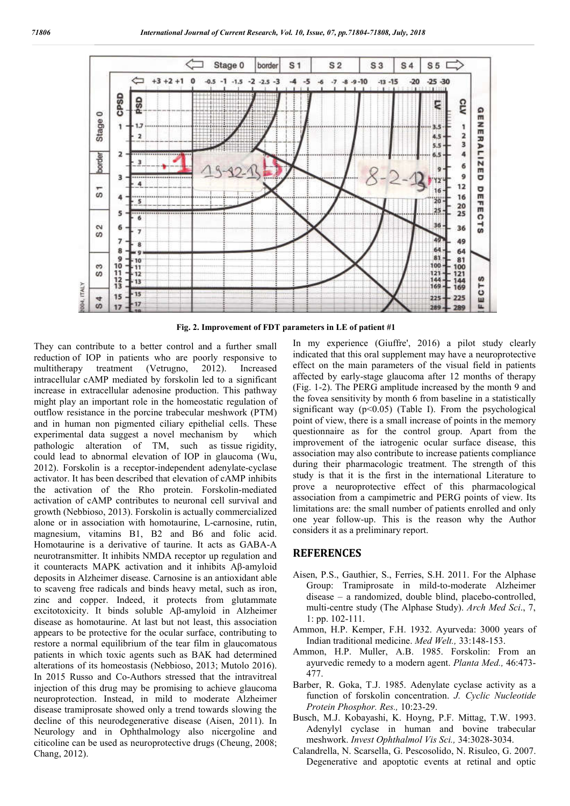

**Fig. 2. Improvement of FDT parameters in LE of patient #1**

They can contribute to a better control and a further small reduction of IOP in patients who are poorly responsive to multitherapy treatment (Vetrugno, 2012). Increased intracellular cAMP mediated by forskolin led to a significant increase in extracellular adenosine production. This pathway might play an important role in the homeostatic regulation of outflow resistance in the porcine trabecular meshwork (PTM) and in human non pigmented ciliary epithelial cells. These experimental data suggest a novel mechanism by which pathologic alteration of TM, such as tissue rigidity, could lead to abnormal elevation of IOP in glaucoma (Wu, 2012). Forskolin is a receptor-independent adenylate-cyclase activator. It has been described that elevation of cAMP inhibits the activation of the Rho protein. Forskolin-mediated activation of cAMP contributes to neuronal cell survival and growth (Nebbioso, 2013). Forskolin is actually commercialized alone or in association with homotaurine, L-carnosine, rutin, magnesium, vitamins B1, B2 and B6 and folic acid. Homotaurine is a derivative of taurine. It acts as GABA-A neurotransmitter. It inhibits NMDA receptor up regulation and it counteracts MAPK activation and it inhibits Aβ-amyloid deposits in Alzheimer disease. Carnosine is an antioxidant able to scaveng free radicals and binds heavy metal, such as iron, zinc and copper. Indeed, it protects from glutammate excitotoxicity. It binds soluble Aβ-amyloid in Alzheimer disease as homotaurine. At last but not least, this association appears to be protective for the ocular surface, contributing to restore a normal equilibrium of the tear film in glaucomatous patients in which toxic agents such as BAK had determined alterations of its homeostasis (Nebbioso, 2013; Mutolo 2016). In 2015 Russo and Co-Authors stressed that the intravitreal injection of this drug may be promising to achieve glaucoma neuroprotection. Instead, in mild to moderate Alzheimer disease tramiprosate showed only a trend towards slowing the decline of this neurodegenerative disease (Aisen, 2011). In Neurology and in Ophthalmology also nicergoline and citicoline can be used as neuroprotective drugs (Cheung, 2008; Chang, 2012).

In my experience (Giuffre', 2016) a pilot study clearly indicated that this oral supplement may have a neuroprotective effect on the main parameters of the visual field in patients affected by early-stage glaucoma after 12 months of therapy (Fig. 1-2). The PERG amplitude increased by the month 9 and the fovea sensitivity by month 6 from baseline in a statistically significant way  $(p<0.05)$  (Table I). From the psychological point of view, there is a small increase of points in the memory questionnaire as for the control group. Apart from the improvement of the iatrogenic ocular surface disease, this association may also contribute to increase patients compliance during their pharmacologic treatment. The strength of this study is that it is the first in the international Literature to prove a neuroprotective effect of this pharmacological association from a campimetric and PERG points of view. Its limitations are: the small number of patients enrolled and only one year follow-up. This is the reason why the Author considers it as a preliminary report.

### **REFERENCES**

- Aisen, P.S., Gauthier, S., Ferries, S.H. 2011. For the Alphase Group: Tramiprosate in mild-to-moderate Alzheimer disease – a randomized, double blind, placebo-controlled, multi-centre study (The Alphase Study). *Arch Med Sci*., 7, 1: pp. 102-111.
- Ammon, H.P. Kemper, F.H. 1932. Ayurveda: 3000 years of Indian traditional medicine. *Med Welt.,* 33:148-153.
- Ammon, H.P. Muller, A.B. 1985. Forskolin: From an ayurvedic remedy to a modern agent. *Planta Med.,* 46:473- 477.
- Barber, R. Goka, T.J. 1985. Adenylate cyclase activity as a function of forskolin concentration. *J. Cyclic Nucleotide Protein Phosphor. Res.,* 10:23-29.
- Busch, M.J. Kobayashi, K. Hoyng, P.F. Mittag, T.W. 1993. Adenylyl cyclase in human and bovine trabecular meshwork. *Invest Ophthalmol Vis Sci.,* 34:3028-3034.
- Calandrella, N. Scarsella, G. Pescosolido, N. Risuleo, G. 2007. Degenerative and apoptotic events at retinal and optic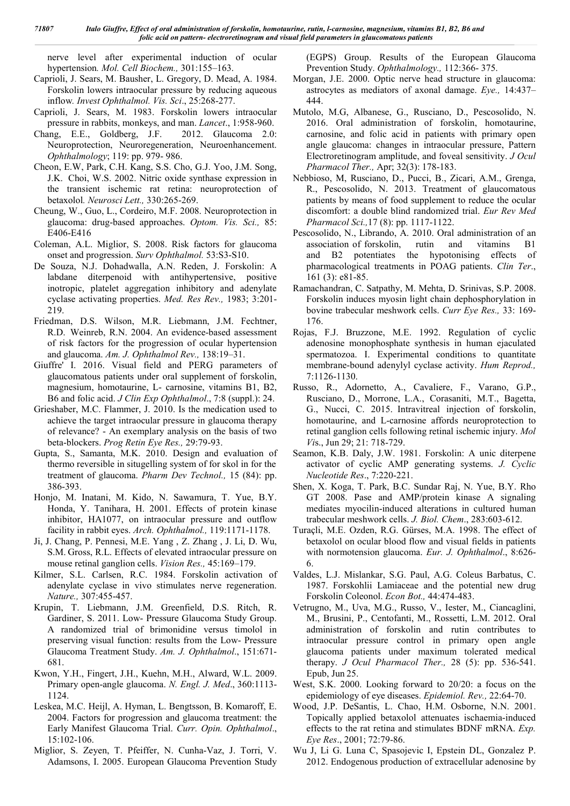nerve level after experimental induction of ocular hypertension*. Mol. Cell Biochem.,* 301:155–163.

- Caprioli, J. Sears, M. Bausher, L. Gregory, D. Mead, A. 1984. Forskolin lowers intraocular pressure by reducing aqueous inflow*. Invest Ophthalmol. Vis. Sci*., 25:268-277.
- Caprioli, J. Sears, M. 1983. Forskolin lowers intraocular pressure in rabbits, monkeys, and man. *Lancet*., 1:958-960.
- Chang, E.E., Goldberg, J.F. 2012. Glaucoma 2.0: Neuroprotection, Neuroregeneration, Neuroenhancement. *Ophthalmology*; 119: pp. 979- 986.
- Cheon, E.W, Park, C.H. Kang, S.S. Cho, G.J. Yoo, J.M. Song, J.K. Choi, W.S. 2002. Nitric oxide synthase expression in the transient ischemic rat retina: neuroprotection of betaxolol*. Neurosci Lett.,* 330:265-269.
- Cheung, W., Guo, L., Cordeiro, M.F. 2008. Neuroprotection in glaucoma: drug-based approaches. *Optom. Vis. Sci.,* 85: E406-E416
- Coleman, A.L. Miglior, S. 2008. Risk factors for glaucoma onset and progression. *Surv Ophthalmol.* 53:S3-S10.
- De Souza, N.J. Dohadwalla, A.N. Reden, J. Forskolin: A labdane diterpenoid with antihypertensive, positive inotropic, platelet aggregation inhibitory and adenylate cyclase activating properties. *Med. Res Rev.,* 1983; 3:201- 219.
- Friedman, D.S. Wilson, M.R. Liebmann, J.M. Fechtner, R.D. Weinreb, R.N. 2004. An evidence-based assessment of risk factors for the progression of ocular hypertension and glaucoma. *Am. J. Ophthalmol Rev.,* 138:19–31.
- Giuffre' I. 2016. Visual field and PERG parameters of glaucomatous patients under oral supplement of forskolin, magnesium, homotaurine, L- carnosine, vitamins B1, B2, B6 and folic acid. *J Clin Exp Ophthalmol*., 7:8 (suppl.): 24.
- Grieshaber, M.C. Flammer, J. 2010. Is the medication used to achieve the target intraocular pressure in glaucoma therapy of relevance? - An exemplary analysis on the basis of two beta-blockers. *Prog Retin Eye Res.,* 29:79-93.
- Gupta, S., Samanta, M.K. 2010. Design and evaluation of thermo reversible in situgelling system of for skol in for the treatment of glaucoma. *Pharm Dev Technol.,* 15 (84): pp. 386-393.
- Honjo, M. Inatani, M. Kido, N. Sawamura, T. Yue, B.Y. Honda, Y. Tanihara, H. 2001. Effects of protein kinase inhibitor, HA1077, on intraocular pressure and outflow facility in rabbit eyes. *Arch. Ophthalmol.,* 119:1171-1178.
- Ji, J. Chang, P. Pennesi, M.E. Yang , Z. Zhang , J. Li, D. Wu, S.M. Gross, R.L. Effects of elevated intraocular pressure on mouse retinal ganglion cells. *Vision Res.,* 45:169–179.
- Kilmer, S.L. Carlsen, R.C. 1984. Forskolin activation of adenylate cyclase in vivo stimulates nerve regeneration. *Nature.,* 307:455-457.
- Krupin, T. Liebmann, J.M. Greenfield, D.S. Ritch, R. Gardiner, S. 2011. Low- Pressure Glaucoma Study Group. A randomized trial of brimonidine versus timolol in preserving visual function: results from the Low- Pressure Glaucoma Treatment Study. *Am. J. Ophthalmol*., 151:671- 681.
- Kwon, Y.H., Fingert, J.H., Kuehn, M.H., Alward, W.L. 2009. Primary open-angle glaucoma. *N. Engl. J. Med*., 360:1113- 1124.
- Leskea, M.C. Heijl, A. Hyman, L. Bengtsson, B. Komaroff, E. 2004. Factors for progression and glaucoma treatment: the Early Manifest Glaucoma Trial. *Curr. Opin. Ophthalmol*., 15:102-106.
- Miglior, S. Zeyen, T. Pfeiffer, N. Cunha-Vaz, J. Torri, V. Adamsons, I. 2005. European Glaucoma Prevention Study

(EGPS) Group. Results of the European Glaucoma Prevention Study. *Ophthalmology.,* 112:366- 375.

- Morgan, J.E. 2000. Optic nerve head structure in glaucoma: astrocytes as mediators of axonal damage. *Eye.,* 14:437– 444.
- Mutolo, M.G, Albanese, G., Rusciano, D., Pescosolido, N. 2016. Oral administration of forskolin, homotaurine, carnosine, and folic acid in patients with primary open angle glaucoma: changes in intraocular pressure, Pattern Electroretinogram amplitude, and foveal sensitivity. *J Ocul Pharmacol Ther.,* Apr; 32(3): 178-183.
- Nebbioso, M, Rusciano, D., Pucci, B., Zicari, A.M., Grenga, R., Pescosolido, N. 2013. Treatment of glaucomatous patients by means of food supplement to reduce the ocular discomfort: a double blind randomized trial. *Eur Rev Med Pharmacol Sci.,*17 (8): pp. 1117-1122.
- Pescosolido, N., Librando, A. 2010. Oral administration of an association of forskolin, rutin and vitamins B1 and B2 potentiates the hypotonising effects of pharmacological treatments in POAG patients. *Clin Ter*., 161 (3): e81-85.
- Ramachandran, C. Satpathy, M. Mehta, D. Srinivas, S.P. 2008. Forskolin induces myosin light chain dephosphorylation in bovine trabecular meshwork cells. *Curr Eye Res.,* 33: 169- 176.
- Rojas, F.J. Bruzzone, M.E. 1992. Regulation of cyclic adenosine monophosphate synthesis in human ejaculated spermatozoa. I. Experimental conditions to quantitate membrane-bound adenylyl cyclase activity. *Hum Reprod.,*  7:1126-1130.
- Russo, R., Adornetto, A., Cavaliere, F., Varano, G.P., Rusciano, D., Morrone, L.A., Corasaniti, M.T., Bagetta, G., Nucci, C. 2015. Intravitreal injection of forskolin, homotaurine, and L-carnosine affords neuroprotection to retinal ganglion cells following retinal ischemic injury. *Mol Vi*s., Jun 29; 21: 718-729.
- Seamon, K.B. Daly, J.W. 1981. Forskolin: A unic diterpene activator of cyclic AMP generating systems. *J. Cyclic Nucleotide Res*., 7:220-221.
- Shen, X. Koga, T. Park, B.C. Sundar Raj, N. Yue, B.Y. Rho GT 2008. Pase and AMP/protein kinase A signaling mediates myocilin-induced alterations in cultured human trabecular meshwork cells. *J. Biol. Chem*., 283:603-612.
- Turaçli, M.E. Ozden, R.G. Gürses, M.A. 1998. The effect of betaxolol on ocular blood flow and visual fields in patients with normotension glaucoma. *Eur. J. Ophthalmol*., 8:626- 6.
- Valdes, L.J. Mislankar, S.G. Paul, A.G. Coleus Barbatus, C. 1987. Forskohlii Lamiaceae and the potential new drug Forskolin Coleonol. *Econ Bot.,* 44:474-483.
- Vetrugno, M., Uva, M.G., Russo, V., Iester, M., Ciancaglini, M., Brusini, P., Centofanti, M., Rossetti, L.M. 2012. Oral administration of forskolin and rutin contributes to intraocular pressure control in primary open angle glaucoma patients under maximum tolerated medical therapy. *J Ocul Pharmacol Ther.,* 28 (5): pp. 536-541. Epub, Jun 25.
- West, S.K. 2000. Looking forward to 20/20: a focus on the epidemiology of eye diseases. *Epidemiol. Rev.,* 22:64-70.
- Wood, J.P. DeSantis, L. Chao, H.M. Osborne, N.N. 2001. Topically applied betaxolol attenuates ischaemia-induced effects to the rat retina and stimulates BDNF mRNA. *Exp. Eye Res*., 2001; 72:79-86.
- Wu J, Li G. Luna C, Spasojevic I, Epstein DL, Gonzalez P. 2012. Endogenous production of extracellular adenosine by